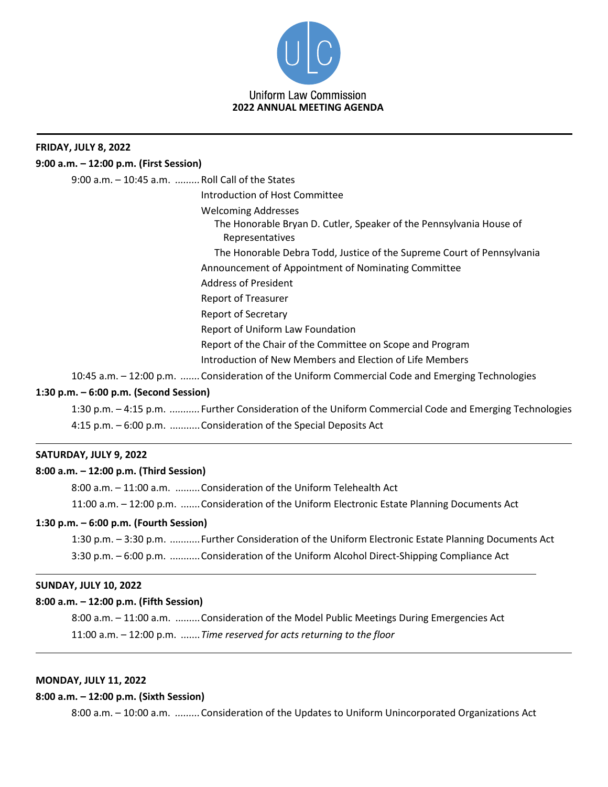

# **FRIDAY, JULY 8, 2022 9:00 a.m. – 12:00 p.m. (First Session)** 9:00 a.m. – 10:45 a.m. *.........*Roll Call of the States Introduction of Host Committee Welcoming Addresses The Honorable Bryan D. Cutler, Speaker of the Pennsylvania House of Representatives The Honorable Debra Todd, Justice of the Supreme Court of Pennsylvania Announcement of Appointment of Nominating Committee Address of President Report of Treasurer Report of Secretary Report of Uniform Law Foundation Report of the Chair of the Committee on Scope and Program Introduction of New Members and Election of Life Members 10:45 a.m. – 12:00 p.m. *.......*Consideration of the Uniform Commercial Code and Emerging Technologies **1:30 p.m. – 6:00 p.m. (Second Session)** 1:30 p.m. – 4:15 p.m. *...........*Further Consideration of the Uniform Commercial Code and Emerging Technologies 4:15 p.m. *–* 6:00 p.m. ...........Consideration of the Special Deposits Act **SATURDAY, JULY 9, 2022 8:00 a.m. – 12:00 p.m. (Third Session)** 8:00 a.m. – 11:00 a.m. .........Consideration of the Uniform Telehealth Act 11:00 a.m. – 12:00 p.m. .......Consideration of the Uniform Electronic Estate Planning Documents Act **1:30 p.m. – 6:00 p.m. (Fourth Session)** 1:30 p.m. – 3:30 p.m. ...........Further Consideration of the Uniform Electronic Estate Planning Documents Act 3:30 p.m. *–* 6:00 p.m. ...........Consideration of the Uniform Alcohol Direct-Shipping Compliance Act

## **SUNDAY, JULY 10, 2022**

## **8:00 a.m. – 12:00 p.m. (Fifth Session)**

8:00 a.m. – 11:00 a.m. .........Consideration of the Model Public Meetings During Emergencies Act 11:00 a.m. – 12:00 p.m. .......*Time reserved for acts returning to the floor*

## **MONDAY, JULY 11, 2022**

#### **8:00 a.m. – 12:00 p.m. (Sixth Session)**

8:00 a.m. – 10:00 a.m. *.........*Consideration of the Updates to Uniform Unincorporated Organizations Act